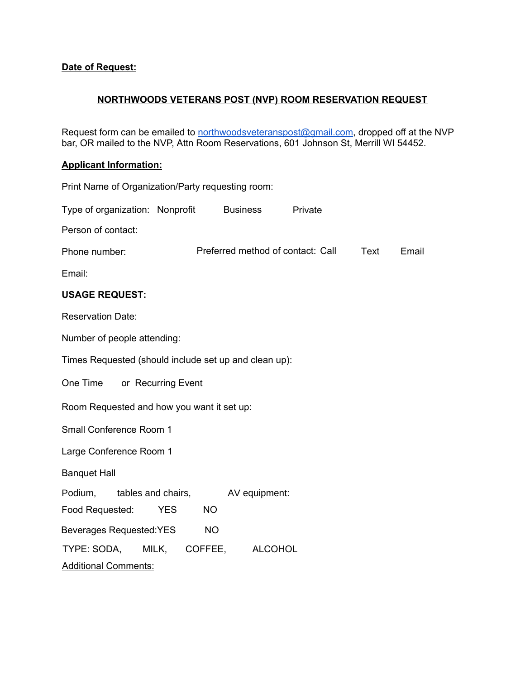## **Date of Request:**

## **NORTHWOODS VETERANS POST (NVP) ROOM RESERVATION REQUEST**

Request form can be emailed to [northwoodsveteranspost@gmail.com,](mailto:northwoodsvetersanspost@gmail.com) dropped off at the NVP bar, OR mailed to the NVP, Attn Room Reservations, 601 Johnson St, Merrill WI 54452.

## **Applicant Information:**

| Print Name of Organization/Party requesting room:                                                    |  |  |  |
|------------------------------------------------------------------------------------------------------|--|--|--|
| Type of organization: Nonprofit $\Box$ Business $\Box$<br>Private $\Box$                             |  |  |  |
| Person of contact:                                                                                   |  |  |  |
| Preferred method of contact: Call $\Box$ Text $\Box$ Email $\Box$<br>Phone number:                   |  |  |  |
| Email:                                                                                               |  |  |  |
| <b>USAGE REQUEST:</b>                                                                                |  |  |  |
| <b>Reservation Date:</b>                                                                             |  |  |  |
| Number of people attending:                                                                          |  |  |  |
| Times Requested (should include set up and clean up):                                                |  |  |  |
| One Time $\Box$ or Recurring Event $\Box$                                                            |  |  |  |
| Room Requested and how you want it set up:                                                           |  |  |  |
| Small Conference Room 1                                                                              |  |  |  |
| Large Conference Room 1                                                                              |  |  |  |
| <b>Banquet Hall</b>                                                                                  |  |  |  |
| Podium, $\Box$ tables and chairs, $\Box$<br>AV equipment: $\Box$<br>Food Requested:<br>$NO$  <br>YES |  |  |  |
| NOL I<br>Beverages Requested: YES                                                                    |  |  |  |
| TYPE: SODA, $\Box$ MILK, $\Box$ COFFEE, $\Box$ ALCOHOL $\Box$                                        |  |  |  |
| <b>Additional Comments:</b>                                                                          |  |  |  |